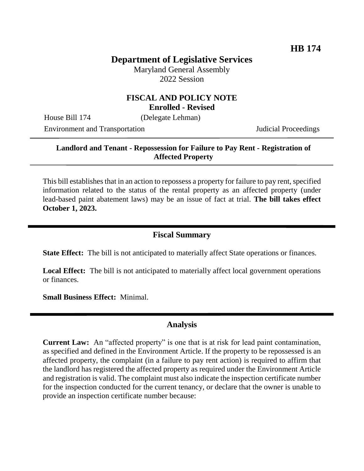# **Department of Legislative Services**

Maryland General Assembly 2022 Session

#### **FISCAL AND POLICY NOTE Enrolled - Revised**

House Bill 174 (Delegate Lehman)

Environment and Transportation Judicial Proceedings

### **Landlord and Tenant - Repossession for Failure to Pay Rent - Registration of Affected Property**

This bill establishes that in an action to repossess a property for failure to pay rent, specified information related to the status of the rental property as an affected property (under lead-based paint abatement laws) may be an issue of fact at trial. **The bill takes effect October 1, 2023.** 

### **Fiscal Summary**

**State Effect:** The bill is not anticipated to materially affect State operations or finances.

**Local Effect:** The bill is not anticipated to materially affect local government operations or finances.

**Small Business Effect:** Minimal.

## **Analysis**

**Current Law:** An "affected property" is one that is at risk for lead paint contamination, as specified and defined in the Environment Article. If the property to be repossessed is an affected property, the complaint (in a failure to pay rent action) is required to affirm that the landlord has registered the affected property as required under the Environment Article and registration is valid. The complaint must also indicate the inspection certificate number for the inspection conducted for the current tenancy, or declare that the owner is unable to provide an inspection certificate number because: